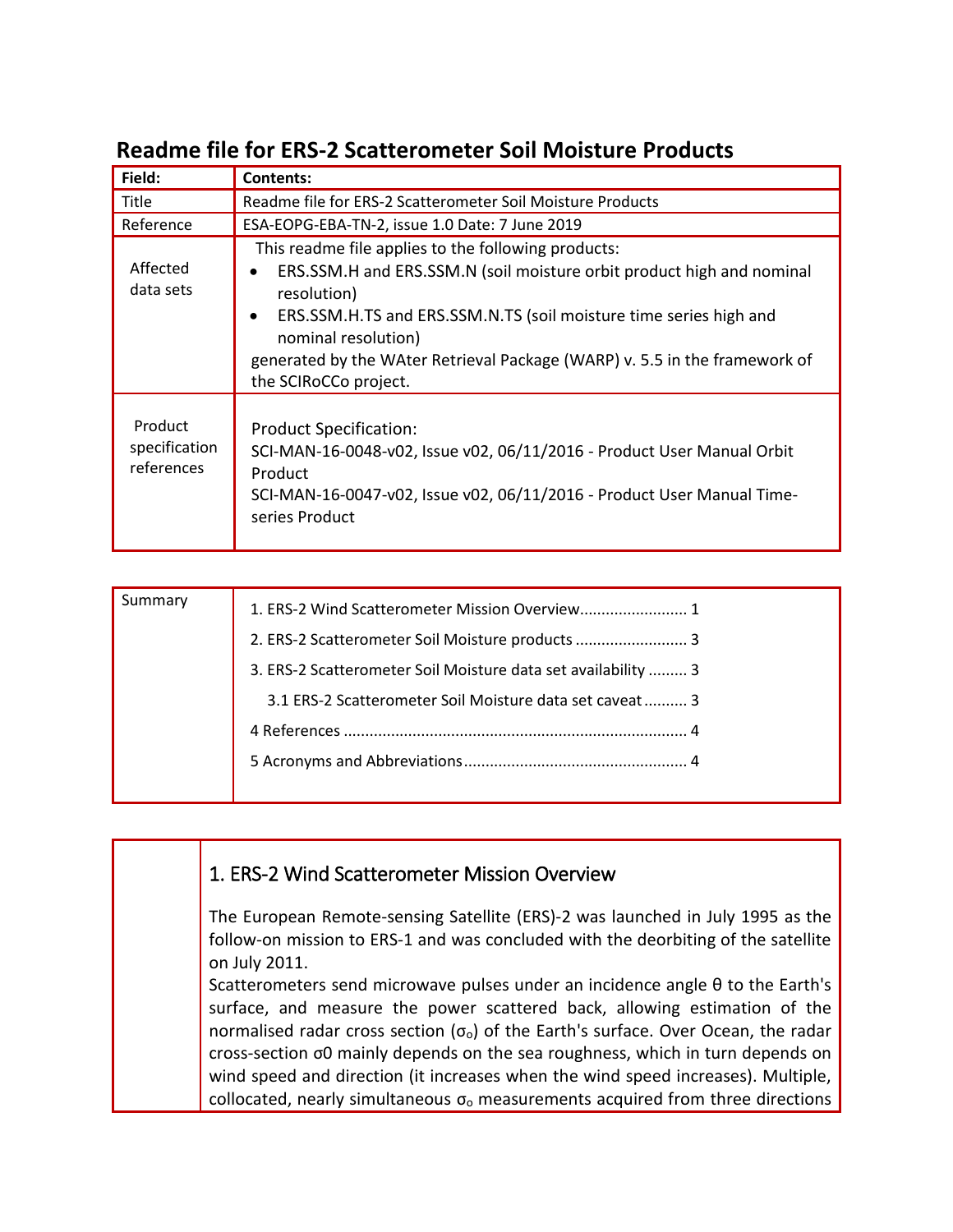| Field:                                 | <b>Contents:</b>                                                                                                                                                                                                                                                                                                                                                         |  |
|----------------------------------------|--------------------------------------------------------------------------------------------------------------------------------------------------------------------------------------------------------------------------------------------------------------------------------------------------------------------------------------------------------------------------|--|
| Title                                  | Readme file for ERS-2 Scatterometer Soil Moisture Products                                                                                                                                                                                                                                                                                                               |  |
| Reference                              | ESA-EOPG-EBA-TN-2, issue 1.0 Date: 7 June 2019                                                                                                                                                                                                                                                                                                                           |  |
| Affected<br>data sets                  | This readme file applies to the following products:<br>ERS.SSM.H and ERS.SSM.N (soil moisture orbit product high and nominal<br>$\bullet$<br>resolution)<br>ERS.SSM.H.TS and ERS.SSM.N.TS (soil moisture time series high and<br>$\bullet$<br>nominal resolution)<br>generated by the WAter Retrieval Package (WARP) v. 5.5 in the framework of<br>the SCIRoCCo project. |  |
| Product<br>specification<br>references | <b>Product Specification:</b><br>SCI-MAN-16-0048-v02, Issue v02, 06/11/2016 - Product User Manual Orbit<br>Product<br>SCI-MAN-16-0047-v02, Issue v02, 06/11/2016 - Product User Manual Time-<br>series Product                                                                                                                                                           |  |

# **Readme file for ERS-2 Scatterometer Soil Moisture Products**

| Summary | 1. ERS-2 Wind Scatterometer Mission Overview 1                |
|---------|---------------------------------------------------------------|
|         | 2. ERS-2 Scatterometer Soil Moisture products  3              |
|         | 3. ERS-2 Scatterometer Soil Moisture data set availability  3 |
|         | 3.1 ERS-2 Scatterometer Soil Moisture data set caveat 3       |
|         |                                                               |
|         |                                                               |
|         |                                                               |

#### <span id="page-0-0"></span>1. ERS-2 Wind Scatterometer Mission Overview

The European Remote-sensing Satellite (ERS)-2 was launched in July 1995 as the follow-on mission to ERS-1 and was concluded with the deorbiting of the satellite on July 2011.

Scatterometers send microwave pulses under an incidence angle θ to the Earth's surface, and measure the power scattered back, allowing estimation of the normalised radar cross section  $(\sigma_0)$  of the Earth's surface. Over Ocean, the radar cross-section σ0 mainly depends on the sea roughness, which in turn depends on wind speed and direction (it increases when the wind speed increases). Multiple, collocated, nearly simultaneous  $\sigma_0$  measurements acquired from three directions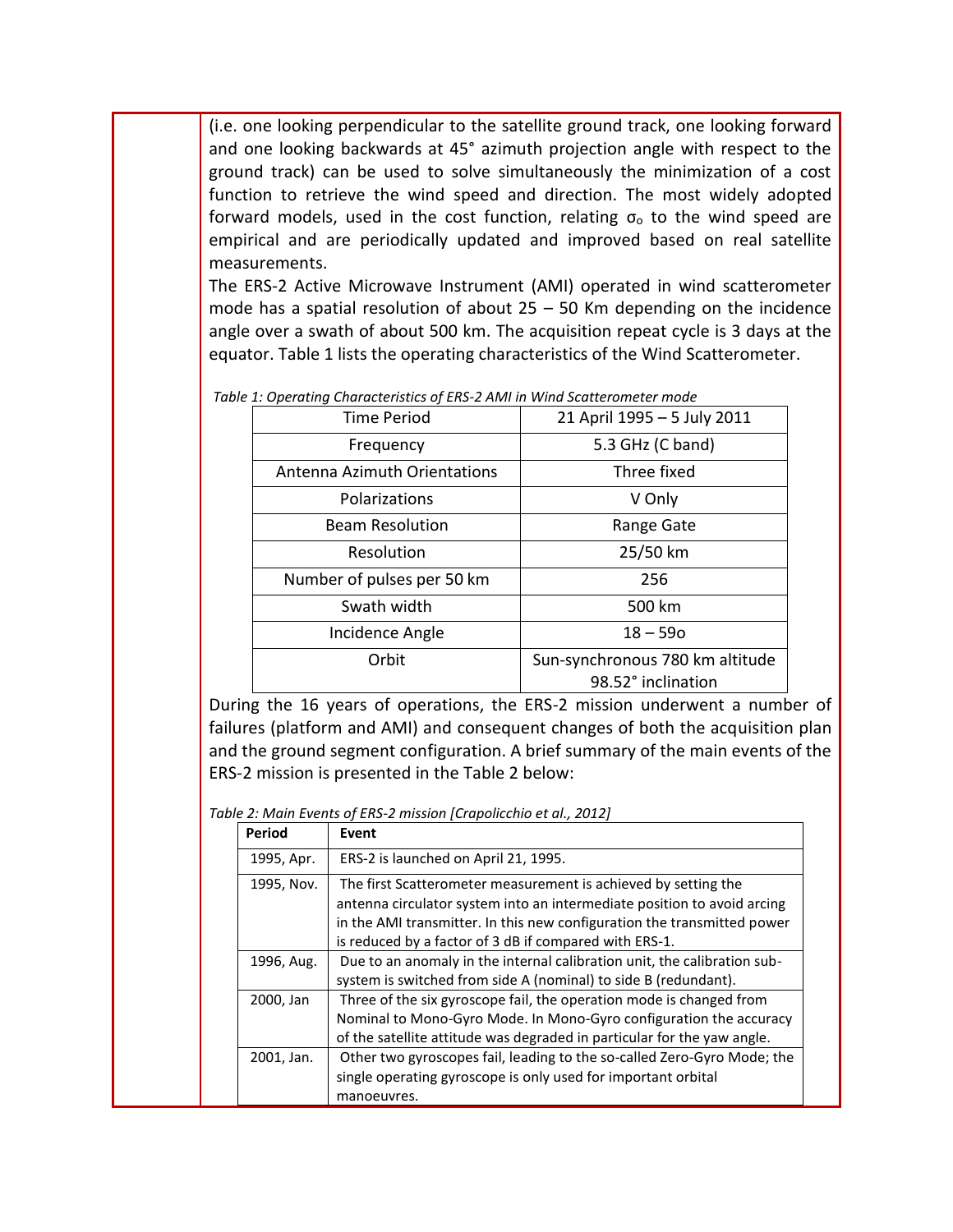(i.e. one looking perpendicular to the satellite ground track, one looking forward and one looking backwards at 45° azimuth projection angle with respect to the ground track) can be used to solve simultaneously the minimization of a cost function to retrieve the wind speed and direction. The most widely adopted forward models, used in the cost function, relating  $\sigma_0$  to the wind speed are empirical and are periodically updated and improved based on real satellite measurements.

The ERS-2 Active Microwave Instrument (AMI) operated in wind scatterometer mode has a spatial resolution of about  $25 - 50$  Km depending on the incidence angle over a swath of about 500 km. The acquisition repeat cycle is 3 days at the equator. Table 1 lists the operating characteristics of the Wind Scatterometer.

| <b>Time Period</b>                  | 21 April 1995 - 5 July 2011                           |
|-------------------------------------|-------------------------------------------------------|
| Frequency                           | 5.3 GHz (C band)                                      |
| <b>Antenna Azimuth Orientations</b> | Three fixed                                           |
| Polarizations                       | V Only                                                |
| <b>Beam Resolution</b>              | Range Gate                                            |
| Resolution                          | 25/50 km                                              |
| Number of pulses per 50 km          | 256                                                   |
| Swath width                         | 500 km                                                |
| Incidence Angle                     | $18 - 590$                                            |
| Orbit                               | Sun-synchronous 780 km altitude<br>98.52° inclination |

*Table 1: Operating Characteristics of ERS-2 AMI in Wind Scatterometer mode*

During the 16 years of operations, the ERS-2 mission underwent a number of failures (platform and AMI) and consequent changes of both the acquisition plan and the ground segment configuration. A brief summary of the main events of the ERS-2 mission is presented in the Table 2 below:

*Table 2: Main Events of ERS-2 mission [Crapolicchio et al., 2012]*

| Period     | Event                                                                                                                                                                                                                                                                          |
|------------|--------------------------------------------------------------------------------------------------------------------------------------------------------------------------------------------------------------------------------------------------------------------------------|
| 1995, Apr. | ERS-2 is launched on April 21, 1995.                                                                                                                                                                                                                                           |
| 1995, Nov. | The first Scatterometer measurement is achieved by setting the<br>antenna circulator system into an intermediate position to avoid arcing<br>in the AMI transmitter. In this new configuration the transmitted power<br>is reduced by a factor of 3 dB if compared with ERS-1. |
| 1996, Aug. | Due to an anomaly in the internal calibration unit, the calibration sub-<br>system is switched from side A (nominal) to side B (redundant).                                                                                                                                    |
| 2000, Jan  | Three of the six gyroscope fail, the operation mode is changed from<br>Nominal to Mono-Gyro Mode. In Mono-Gyro configuration the accuracy<br>of the satellite attitude was degraded in particular for the yaw angle.                                                           |
| 2001, Jan. | Other two gyroscopes fail, leading to the so-called Zero-Gyro Mode; the<br>single operating gyroscope is only used for important orbital<br>manoeuvres.                                                                                                                        |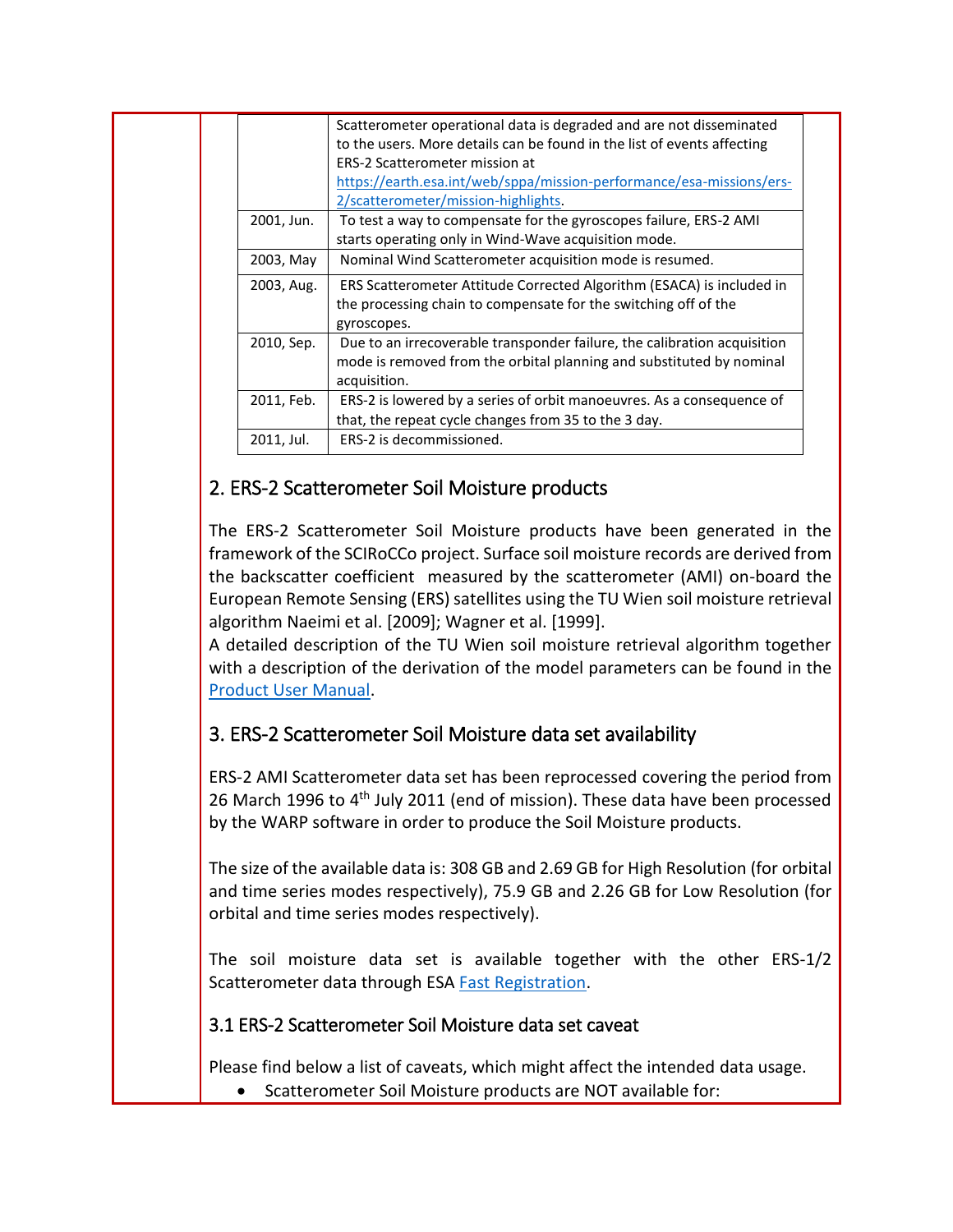|  |            | Scatterometer operational data is degraded and are not disseminated<br>to the users. More details can be found in the list of events affecting |  |
|--|------------|------------------------------------------------------------------------------------------------------------------------------------------------|--|
|  |            | ERS-2 Scatterometer mission at                                                                                                                 |  |
|  |            | https://earth.esa.int/web/sppa/mission-performance/esa-missions/ers-                                                                           |  |
|  |            | 2/scatterometer/mission-highlights                                                                                                             |  |
|  | 2001, Jun. | To test a way to compensate for the gyroscopes failure, ERS-2 AMI                                                                              |  |
|  |            | starts operating only in Wind-Wave acquisition mode.                                                                                           |  |
|  | 2003, May  | Nominal Wind Scatterometer acquisition mode is resumed.                                                                                        |  |
|  | 2003, Aug. | ERS Scatterometer Attitude Corrected Algorithm (ESACA) is included in                                                                          |  |
|  |            | the processing chain to compensate for the switching off of the                                                                                |  |
|  |            | gyroscopes.                                                                                                                                    |  |
|  | 2010, Sep. | Due to an irrecoverable transponder failure, the calibration acquisition                                                                       |  |
|  |            | mode is removed from the orbital planning and substituted by nominal                                                                           |  |
|  |            | acquisition.                                                                                                                                   |  |
|  | 2011, Feb. | ERS-2 is lowered by a series of orbit manoeuvres. As a consequence of                                                                          |  |
|  |            | that, the repeat cycle changes from 35 to the 3 day.                                                                                           |  |
|  | 2011, Jul. | ERS-2 is decommissioned.                                                                                                                       |  |
|  |            |                                                                                                                                                |  |

## <span id="page-2-0"></span>2. ERS-2 Scatterometer Soil Moisture products

The ERS-2 Scatterometer Soil Moisture products have been generated in the framework of the SCIRoCCo project. Surface soil moisture records are derived from the backscatter coefficient measured by the scatterometer (AMI) on-board the European Remote Sensing (ERS) satellites using the TU Wien soil moisture retrieval algorithm Naeimi et al. [2009]; Wagner et al. [1999].

A detailed description of the TU Wien soil moisture retrieval algorithm together with a description of the derivation of the model parameters can be found in the [Product User Manual.](https://earth.esa.int/web/sppa/activities/multi-sensors-timeseries/scirocco/data-access-tools)

# <span id="page-2-1"></span>3. ERS-2 Scatterometer Soil Moisture data set availability

ERS-2 AMI Scatterometer data set has been reprocessed covering the period from 26 March 1996 to 4<sup>th</sup> July 2011 (end of mission). These data have been processed by the WARP software in order to produce the Soil Moisture products.

The size of the available data is: 308 GB and 2.69 GB for High Resolution (for orbital and time series modes respectively), 75.9 GB and 2.26 GB for Low Resolution (for orbital and time series modes respectively).

The soil moisture data set is available together with the other ERS-1/2 Scatterometer data through ESA [Fast Registration.](https://earth.esa.int/web/guest/data-access/browse-data-products?p_p_id=datasetlist_WAR_ospportlet&instruments=WS)

### <span id="page-2-2"></span>3.1 ERS-2 Scatterometer Soil Moisture data set caveat

Please find below a list of caveats, which might affect the intended data usage.

• Scatterometer Soil Moisture products are NOT available for: